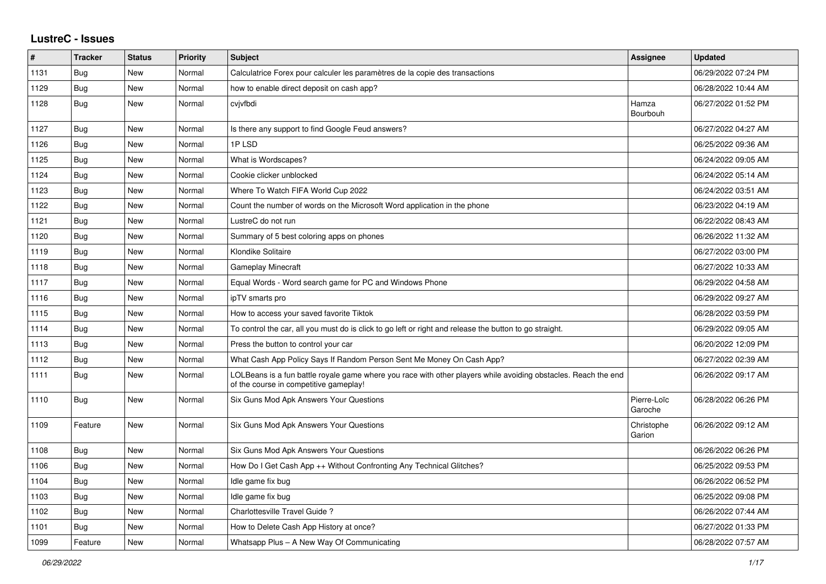## **LustreC - Issues**

| #    | <b>Tracker</b> | <b>Status</b> | <b>Priority</b> | <b>Subject</b>                                                                                                                                           | Assignee               | <b>Updated</b>      |
|------|----------------|---------------|-----------------|----------------------------------------------------------------------------------------------------------------------------------------------------------|------------------------|---------------------|
| 1131 | <b>Bug</b>     | <b>New</b>    | Normal          | Calculatrice Forex pour calculer les paramètres de la copie des transactions                                                                             |                        | 06/29/2022 07:24 PM |
| 1129 | Bug            | New           | Normal          | how to enable direct deposit on cash app?                                                                                                                |                        | 06/28/2022 10:44 AM |
| 1128 | Bug            | New           | Normal          | cvjvfbdi                                                                                                                                                 | Hamza<br>Bourbouh      | 06/27/2022 01:52 PM |
| 1127 | Bug            | New           | Normal          | Is there any support to find Google Feud answers?                                                                                                        |                        | 06/27/2022 04:27 AM |
| 1126 | Bug            | New           | Normal          | 1PLSD                                                                                                                                                    |                        | 06/25/2022 09:36 AM |
| 1125 | <b>Bug</b>     | <b>New</b>    | Normal          | What is Wordscapes?                                                                                                                                      |                        | 06/24/2022 09:05 AM |
| 1124 | <b>Bug</b>     | New           | Normal          | Cookie clicker unblocked                                                                                                                                 |                        | 06/24/2022 05:14 AM |
| 1123 | Bug            | New           | Normal          | Where To Watch FIFA World Cup 2022                                                                                                                       |                        | 06/24/2022 03:51 AM |
| 1122 | Bug            | New           | Normal          | Count the number of words on the Microsoft Word application in the phone                                                                                 |                        | 06/23/2022 04:19 AM |
| 1121 | <b>Bug</b>     | New           | Normal          | LustreC do not run                                                                                                                                       |                        | 06/22/2022 08:43 AM |
| 1120 | Bug            | New           | Normal          | Summary of 5 best coloring apps on phones                                                                                                                |                        | 06/26/2022 11:32 AM |
| 1119 | Bug            | New           | Normal          | <b>Klondike Solitaire</b>                                                                                                                                |                        | 06/27/2022 03:00 PM |
| 1118 | <b>Bug</b>     | New           | Normal          | <b>Gameplay Minecraft</b>                                                                                                                                |                        | 06/27/2022 10:33 AM |
| 1117 | <b>Bug</b>     | New           | Normal          | Equal Words - Word search game for PC and Windows Phone                                                                                                  |                        | 06/29/2022 04:58 AM |
| 1116 | Bug            | <b>New</b>    | Normal          | ipTV smarts pro                                                                                                                                          |                        | 06/29/2022 09:27 AM |
| 1115 | <b>Bug</b>     | New           | Normal          | How to access your saved favorite Tiktok                                                                                                                 |                        | 06/28/2022 03:59 PM |
| 1114 | Bug            | New           | Normal          | To control the car, all you must do is click to go left or right and release the button to go straight.                                                  |                        | 06/29/2022 09:05 AM |
| 1113 | <b>Bug</b>     | <b>New</b>    | Normal          | Press the button to control your car                                                                                                                     |                        | 06/20/2022 12:09 PM |
| 1112 | Bug            | New           | Normal          | What Cash App Policy Says If Random Person Sent Me Money On Cash App?                                                                                    |                        | 06/27/2022 02:39 AM |
| 1111 | Bug            | New           | Normal          | LOLBeans is a fun battle royale game where you race with other players while avoiding obstacles. Reach the end<br>of the course in competitive gameplay! |                        | 06/26/2022 09:17 AM |
| 1110 | <b>Bug</b>     | New           | Normal          | Six Guns Mod Apk Answers Your Questions                                                                                                                  | Pierre-Loïc<br>Garoche | 06/28/2022 06:26 PM |
| 1109 | Feature        | New           | Normal          | Six Guns Mod Apk Answers Your Questions                                                                                                                  | Christophe<br>Garion   | 06/26/2022 09:12 AM |
| 1108 | Bug            | New           | Normal          | Six Guns Mod Apk Answers Your Questions                                                                                                                  |                        | 06/26/2022 06:26 PM |
| 1106 | Bug            | New           | Normal          | How Do I Get Cash App ++ Without Confronting Any Technical Glitches?                                                                                     |                        | 06/25/2022 09:53 PM |
| 1104 | <b>Bug</b>     | New           | Normal          | Idle game fix bug                                                                                                                                        |                        | 06/26/2022 06:52 PM |
| 1103 | Bug            | New           | Normal          | Idle game fix bug                                                                                                                                        |                        | 06/25/2022 09:08 PM |
| 1102 | Bug            | New           | Normal          | Charlottesville Travel Guide?                                                                                                                            |                        | 06/26/2022 07:44 AM |
| 1101 | <b>Bug</b>     | <b>New</b>    | Normal          | How to Delete Cash App History at once?                                                                                                                  |                        | 06/27/2022 01:33 PM |
| 1099 | Feature        | New           | Normal          | Whatsapp Plus - A New Way Of Communicating                                                                                                               |                        | 06/28/2022 07:57 AM |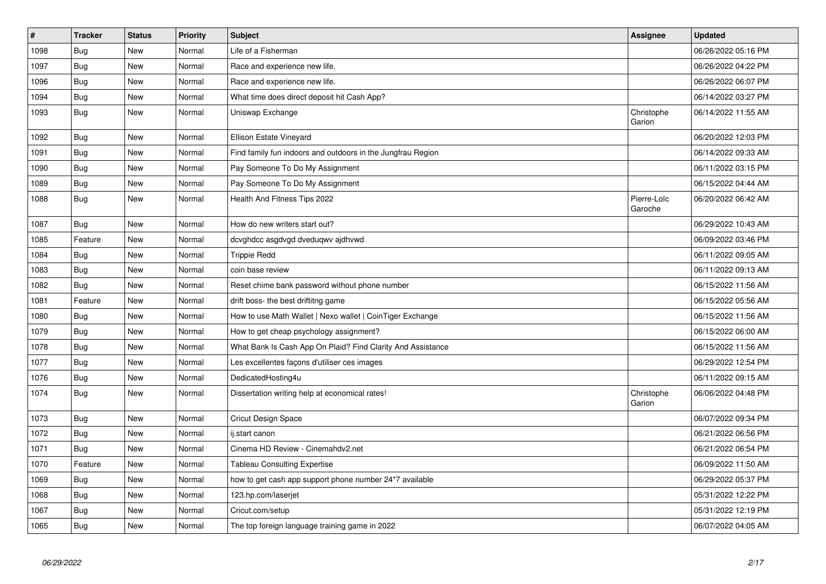| $\sharp$ | <b>Tracker</b> | <b>Status</b> | <b>Priority</b> | <b>Subject</b>                                              | Assignee               | <b>Updated</b>      |
|----------|----------------|---------------|-----------------|-------------------------------------------------------------|------------------------|---------------------|
| 1098     | Bug            | New           | Normal          | Life of a Fisherman                                         |                        | 06/26/2022 05:16 PM |
| 1097     | <b>Bug</b>     | <b>New</b>    | Normal          | Race and experience new life.                               |                        | 06/26/2022 04:22 PM |
| 1096     | Bug            | New           | Normal          | Race and experience new life.                               |                        | 06/26/2022 06:07 PM |
| 1094     | Bug            | New           | Normal          | What time does direct deposit hit Cash App?                 |                        | 06/14/2022 03:27 PM |
| 1093     | Bug            | New           | Normal          | Uniswap Exchange                                            | Christophe<br>Garion   | 06/14/2022 11:55 AM |
| 1092     | Bug            | New           | Normal          | Ellison Estate Vineyard                                     |                        | 06/20/2022 12:03 PM |
| 1091     | <b>Bug</b>     | <b>New</b>    | Normal          | Find family fun indoors and outdoors in the Jungfrau Region |                        | 06/14/2022 09:33 AM |
| 1090     | Bug            | New           | Normal          | Pay Someone To Do My Assignment                             |                        | 06/11/2022 03:15 PM |
| 1089     | Bug            | New           | Normal          | Pay Someone To Do My Assignment                             |                        | 06/15/2022 04:44 AM |
| 1088     | Bug            | New           | Normal          | Health And Fitness Tips 2022                                | Pierre-Loïc<br>Garoche | 06/20/2022 06:42 AM |
| 1087     | Bug            | <b>New</b>    | Normal          | How do new writers start out?                               |                        | 06/29/2022 10:43 AM |
| 1085     | Feature        | New           | Normal          | dcvghdcc asgdvgd dveduqwv ajdhvwd                           |                        | 06/09/2022 03:46 PM |
| 1084     | <b>Bug</b>     | <b>New</b>    | Normal          | <b>Trippie Redd</b>                                         |                        | 06/11/2022 09:05 AM |
| 1083     | Bug            | New           | Normal          | coin base review                                            |                        | 06/11/2022 09:13 AM |
| 1082     | <b>Bug</b>     | New           | Normal          | Reset chime bank password without phone number              |                        | 06/15/2022 11:56 AM |
| 1081     | Feature        | New           | Normal          | drift boss- the best driftitng game                         |                        | 06/15/2022 05:56 AM |
| 1080     | <b>Bug</b>     | New           | Normal          | How to use Math Wallet   Nexo wallet   CoinTiger Exchange   |                        | 06/15/2022 11:56 AM |
| 1079     | <b>Bug</b>     | New           | Normal          | How to get cheap psychology assignment?                     |                        | 06/15/2022 06:00 AM |
| 1078     | Bug            | New           | Normal          | What Bank Is Cash App On Plaid? Find Clarity And Assistance |                        | 06/15/2022 11:56 AM |
| 1077     | Bug            | New           | Normal          | Les excellentes façons d'utiliser ces images                |                        | 06/29/2022 12:54 PM |
| 1076     | Bug            | New           | Normal          | DedicatedHosting4u                                          |                        | 06/11/2022 09:15 AM |
| 1074     | Bug            | New           | Normal          | Dissertation writing help at economical rates!              | Christophe<br>Garion   | 06/06/2022 04:48 PM |
| 1073     | <b>Bug</b>     | New           | Normal          | <b>Cricut Design Space</b>                                  |                        | 06/07/2022 09:34 PM |
| 1072     | Bug            | New           | Normal          | ij.start canon                                              |                        | 06/21/2022 06:56 PM |
| 1071     | Bug            | New           | Normal          | Cinema HD Review - Cinemahdv2.net                           |                        | 06/21/2022 06:54 PM |
| 1070     | Feature        | <b>New</b>    | Normal          | <b>Tableau Consulting Expertise</b>                         |                        | 06/09/2022 11:50 AM |
| 1069     | <b>Bug</b>     | <b>New</b>    | Normal          | how to get cash app support phone number 24*7 available     |                        | 06/29/2022 05:37 PM |
| 1068     | <b>Bug</b>     | <b>New</b>    | Normal          | 123.hp.com/laserjet                                         |                        | 05/31/2022 12:22 PM |
| 1067     | Bug            | New           | Normal          | Cricut.com/setup                                            |                        | 05/31/2022 12:19 PM |
| 1065     | <b>Bug</b>     | New           | Normal          | The top foreign language training game in 2022              |                        | 06/07/2022 04:05 AM |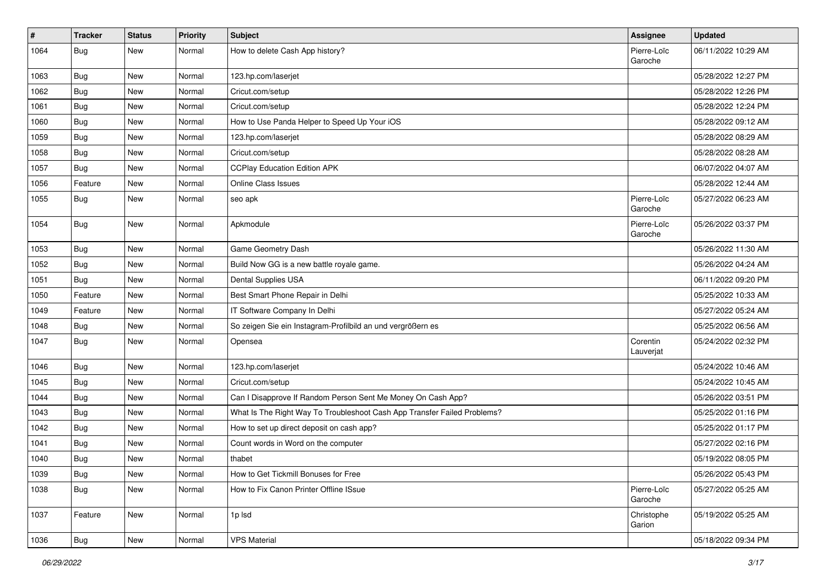| #    | Tracker    | <b>Status</b> | <b>Priority</b> | <b>Subject</b>                                                           | Assignee               | <b>Updated</b>      |
|------|------------|---------------|-----------------|--------------------------------------------------------------------------|------------------------|---------------------|
| 1064 | <b>Bug</b> | New           | Normal          | How to delete Cash App history?                                          | Pierre-Loïc<br>Garoche | 06/11/2022 10:29 AM |
| 1063 | Bug        | New           | Normal          | 123.hp.com/laserjet                                                      |                        | 05/28/2022 12:27 PM |
| 1062 | Bug        | New           | Normal          | Cricut.com/setup                                                         |                        | 05/28/2022 12:26 PM |
| 1061 | Bug        | New           | Normal          | Cricut.com/setup                                                         |                        | 05/28/2022 12:24 PM |
| 1060 | Bug        | New           | Normal          | How to Use Panda Helper to Speed Up Your iOS                             |                        | 05/28/2022 09:12 AM |
| 1059 | <b>Bug</b> | <b>New</b>    | Normal          | 123.hp.com/laserjet                                                      |                        | 05/28/2022 08:29 AM |
| 1058 | Bug        | New           | Normal          | Cricut.com/setup                                                         |                        | 05/28/2022 08:28 AM |
| 1057 | <b>Bug</b> | New           | Normal          | <b>CCPlay Education Edition APK</b>                                      |                        | 06/07/2022 04:07 AM |
| 1056 | Feature    | <b>New</b>    | Normal          | Online Class Issues                                                      |                        | 05/28/2022 12:44 AM |
| 1055 | Bug        | New           | Normal          | seo apk                                                                  | Pierre-Loïc<br>Garoche | 05/27/2022 06:23 AM |
| 1054 | <b>Bug</b> | New           | Normal          | Apkmodule                                                                | Pierre-Loïc<br>Garoche | 05/26/2022 03:37 PM |
| 1053 | Bug        | <b>New</b>    | Normal          | Game Geometry Dash                                                       |                        | 05/26/2022 11:30 AM |
| 1052 | Bug        | New           | Normal          | Build Now GG is a new battle royale game.                                |                        | 05/26/2022 04:24 AM |
| 1051 | <b>Bug</b> | New           | Normal          | Dental Supplies USA                                                      |                        | 06/11/2022 09:20 PM |
| 1050 | Feature    | <b>New</b>    | Normal          | Best Smart Phone Repair in Delhi                                         |                        | 05/25/2022 10:33 AM |
| 1049 | Feature    | New           | Normal          | IT Software Company In Delhi                                             |                        | 05/27/2022 05:24 AM |
| 1048 | Bug        | <b>New</b>    | Normal          | So zeigen Sie ein Instagram-Profilbild an und vergrößern es              |                        | 05/25/2022 06:56 AM |
| 1047 | Bug        | New           | Normal          | Opensea                                                                  | Corentin<br>Lauverjat  | 05/24/2022 02:32 PM |
| 1046 | Bug        | <b>New</b>    | Normal          | 123.hp.com/laserjet                                                      |                        | 05/24/2022 10:46 AM |
| 1045 | Bug        | New           | Normal          | Cricut.com/setup                                                         |                        | 05/24/2022 10:45 AM |
| 1044 | <b>Bug</b> | New           | Normal          | Can I Disapprove If Random Person Sent Me Money On Cash App?             |                        | 05/26/2022 03:51 PM |
| 1043 | Bug        | <b>New</b>    | Normal          | What Is The Right Way To Troubleshoot Cash App Transfer Failed Problems? |                        | 05/25/2022 01:16 PM |
| 1042 | Bug        | New           | Normal          | How to set up direct deposit on cash app?                                |                        | 05/25/2022 01:17 PM |
| 1041 | Bug        | New           | Normal          | Count words in Word on the computer                                      |                        | 05/27/2022 02:16 PM |
| 1040 | <b>Bug</b> | New           | Normal          | thabet                                                                   |                        | 05/19/2022 08:05 PM |
| 1039 | <b>Bug</b> | New           | Normal          | How to Get Tickmill Bonuses for Free                                     |                        | 05/26/2022 05:43 PM |
| 1038 | <b>Bug</b> | New           | Normal          | How to Fix Canon Printer Offline ISsue                                   | Pierre-Loïc<br>Garoche | 05/27/2022 05:25 AM |
| 1037 | Feature    | New           | Normal          | 1p lsd                                                                   | Christophe<br>Garion   | 05/19/2022 05:25 AM |
| 1036 | Bug        | New           | Normal          | <b>VPS Material</b>                                                      |                        | 05/18/2022 09:34 PM |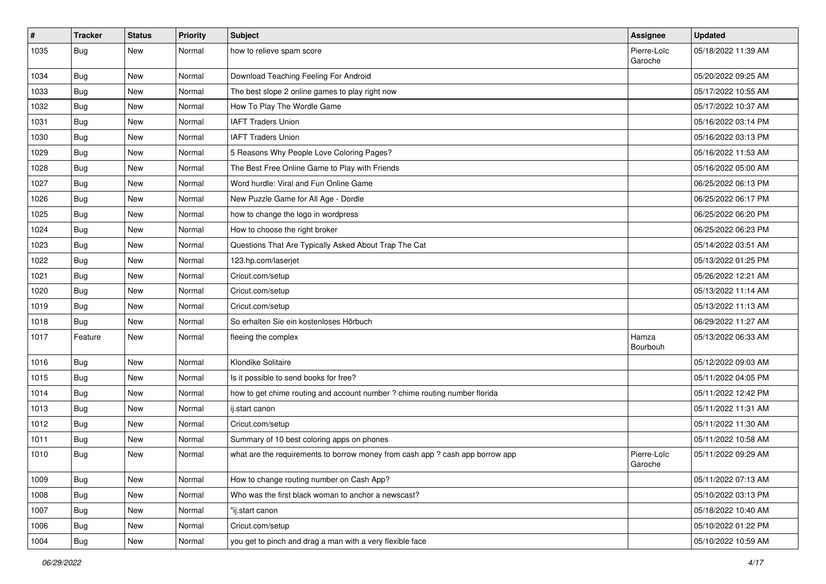| $\sharp$ | Tracker    | <b>Status</b> | <b>Priority</b> | <b>Subject</b>                                                                | Assignee               | <b>Updated</b>      |
|----------|------------|---------------|-----------------|-------------------------------------------------------------------------------|------------------------|---------------------|
| 1035     | <b>Bug</b> | New           | Normal          | how to relieve spam score                                                     | Pierre-Loïc<br>Garoche | 05/18/2022 11:39 AM |
| 1034     | Bug        | New           | Normal          | Download Teaching Feeling For Android                                         |                        | 05/20/2022 09:25 AM |
| 1033     | <b>Bug</b> | <b>New</b>    | Normal          | The best slope 2 online games to play right now                               |                        | 05/17/2022 10:55 AM |
| 1032     | Bug        | <b>New</b>    | Normal          | How To Play The Wordle Game                                                   |                        | 05/17/2022 10:37 AM |
| 1031     | <b>Bug</b> | New           | Normal          | <b>IAFT Traders Union</b>                                                     |                        | 05/16/2022 03:14 PM |
| 1030     | Bug        | <b>New</b>    | Normal          | <b>IAFT Traders Union</b>                                                     |                        | 05/16/2022 03:13 PM |
| 1029     | <b>Bug</b> | New           | Normal          | 5 Reasons Why People Love Coloring Pages?                                     |                        | 05/16/2022 11:53 AM |
| 1028     | Bug        | New           | Normal          | The Best Free Online Game to Play with Friends                                |                        | 05/16/2022 05:00 AM |
| 1027     | Bug        | <b>New</b>    | Normal          | Word hurdle: Viral and Fun Online Game                                        |                        | 06/25/2022 06:13 PM |
| 1026     | Bug        | New           | Normal          | New Puzzle Game for All Age - Dordle                                          |                        | 06/25/2022 06:17 PM |
| 1025     | <b>Bug</b> | New           | Normal          | how to change the logo in wordpress                                           |                        | 06/25/2022 06:20 PM |
| 1024     | <b>Bug</b> | <b>New</b>    | Normal          | How to choose the right broker                                                |                        | 06/25/2022 06:23 PM |
| 1023     | <b>Bug</b> | New           | Normal          | Questions That Are Typically Asked About Trap The Cat                         |                        | 05/14/2022 03:51 AM |
| 1022     | Bug        | <b>New</b>    | Normal          | 123.hp.com/laserjet                                                           |                        | 05/13/2022 01:25 PM |
| 1021     | Bug        | New           | Normal          | Cricut.com/setup                                                              |                        | 05/26/2022 12:21 AM |
| 1020     | <b>Bug</b> | <b>New</b>    | Normal          | Cricut.com/setup                                                              |                        | 05/13/2022 11:14 AM |
| 1019     | Bug        | <b>New</b>    | Normal          | Cricut.com/setup                                                              |                        | 05/13/2022 11:13 AM |
| 1018     | <b>Bug</b> | New           | Normal          | So erhalten Sie ein kostenloses Hörbuch                                       |                        | 06/29/2022 11:27 AM |
| 1017     | Feature    | New           | Normal          | fleeing the complex                                                           | Hamza<br>Bourbouh      | 05/13/2022 06:33 AM |
| 1016     | Bug        | <b>New</b>    | Normal          | Klondike Solitaire                                                            |                        | 05/12/2022 09:03 AM |
| 1015     | Bug        | <b>New</b>    | Normal          | Is it possible to send books for free?                                        |                        | 05/11/2022 04:05 PM |
| 1014     | Bug        | New           | Normal          | how to get chime routing and account number ? chime routing number florida    |                        | 05/11/2022 12:42 PM |
| 1013     | <b>Bug</b> | New           | Normal          | ij.start canon                                                                |                        | 05/11/2022 11:31 AM |
| 1012     | Bug        | <b>New</b>    | Normal          | Cricut.com/setup                                                              |                        | 05/11/2022 11:30 AM |
| 1011     | <b>Bug</b> | New           | Normal          | Summary of 10 best coloring apps on phones                                    |                        | 05/11/2022 10:58 AM |
| 1010     | Bug        | New           | Normal          | what are the requirements to borrow money from cash app ? cash app borrow app | Pierre-Loïc<br>Garoche | 05/11/2022 09:29 AM |
| 1009     | Bug        | <b>New</b>    | Normal          | How to change routing number on Cash App?                                     |                        | 05/11/2022 07:13 AM |
| 1008     | Bug        | New           | Normal          | Who was the first black woman to anchor a newscast?                           |                        | 05/10/2022 03:13 PM |
| 1007     | <b>Bug</b> | New           | Normal          | "ij.start canon                                                               |                        | 05/18/2022 10:40 AM |
| 1006     | Bug        | New           | Normal          | Cricut.com/setup                                                              |                        | 05/10/2022 01:22 PM |
| 1004     | <b>Bug</b> | New           | Normal          | you get to pinch and drag a man with a very flexible face                     |                        | 05/10/2022 10:59 AM |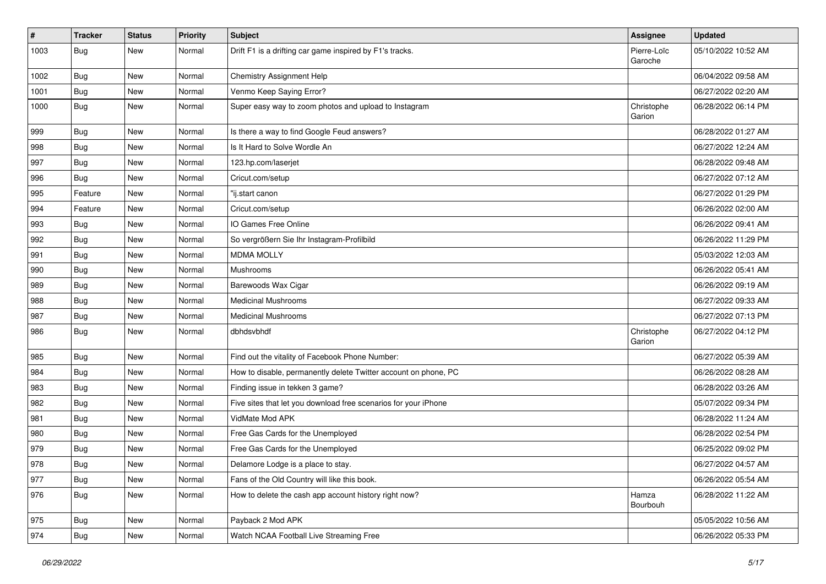| $\vert$ # | <b>Tracker</b> | <b>Status</b> | <b>Priority</b> | <b>Subject</b>                                                  | <b>Assignee</b>        | <b>Updated</b>      |
|-----------|----------------|---------------|-----------------|-----------------------------------------------------------------|------------------------|---------------------|
| 1003      | <b>Bug</b>     | New           | Normal          | Drift F1 is a drifting car game inspired by F1's tracks.        | Pierre-Loïc<br>Garoche | 05/10/2022 10:52 AM |
| 1002      | Bug            | New           | Normal          | <b>Chemistry Assignment Help</b>                                |                        | 06/04/2022 09:58 AM |
| 1001      | <b>Bug</b>     | New           | Normal          | Venmo Keep Saying Error?                                        |                        | 06/27/2022 02:20 AM |
| 1000      | <b>Bug</b>     | <b>New</b>    | Normal          | Super easy way to zoom photos and upload to Instagram           | Christophe<br>Garion   | 06/28/2022 06:14 PM |
| 999       | <b>Bug</b>     | New           | Normal          | Is there a way to find Google Feud answers?                     |                        | 06/28/2022 01:27 AM |
| 998       | <b>Bug</b>     | New           | Normal          | Is It Hard to Solve Wordle An                                   |                        | 06/27/2022 12:24 AM |
| 997       | <b>Bug</b>     | New           | Normal          | 123.hp.com/laserjet                                             |                        | 06/28/2022 09:48 AM |
| 996       | <b>Bug</b>     | <b>New</b>    | Normal          | Cricut.com/setup                                                |                        | 06/27/2022 07:12 AM |
| 995       | Feature        | New           | Normal          | "ij.start canon                                                 |                        | 06/27/2022 01:29 PM |
| 994       | Feature        | New           | Normal          | Cricut.com/setup                                                |                        | 06/26/2022 02:00 AM |
| 993       | Bug            | New           | Normal          | IO Games Free Online                                            |                        | 06/26/2022 09:41 AM |
| 992       | <b>Bug</b>     | <b>New</b>    | Normal          | So vergrößern Sie Ihr Instagram-Profilbild                      |                        | 06/26/2022 11:29 PM |
| 991       | <b>Bug</b>     | New           | Normal          | <b>MDMA MOLLY</b>                                               |                        | 05/03/2022 12:03 AM |
| 990       | Bug            | New           | Normal          | Mushrooms                                                       |                        | 06/26/2022 05:41 AM |
| 989       | <b>Bug</b>     | New           | Normal          | Barewoods Wax Cigar                                             |                        | 06/26/2022 09:19 AM |
| 988       | <b>Bug</b>     | <b>New</b>    | Normal          | <b>Medicinal Mushrooms</b>                                      |                        | 06/27/2022 09:33 AM |
| 987       | <b>Bug</b>     | New           | Normal          | Medicinal Mushrooms                                             |                        | 06/27/2022 07:13 PM |
| 986       | <b>Bug</b>     | New           | Normal          | dbhdsvbhdf                                                      | Christophe<br>Garion   | 06/27/2022 04:12 PM |
| 985       | <b>Bug</b>     | <b>New</b>    | Normal          | Find out the vitality of Facebook Phone Number:                 |                        | 06/27/2022 05:39 AM |
| 984       | Bug            | <b>New</b>    | Normal          | How to disable, permanently delete Twitter account on phone, PC |                        | 06/26/2022 08:28 AM |
| 983       | <b>Bug</b>     | New           | Normal          | Finding issue in tekken 3 game?                                 |                        | 06/28/2022 03:26 AM |
| 982       | <b>Bug</b>     | New           | Normal          | Five sites that let you download free scenarios for your iPhone |                        | 05/07/2022 09:34 PM |
| 981       | <b>Bug</b>     | <b>New</b>    | Normal          | VidMate Mod APK                                                 |                        | 06/28/2022 11:24 AM |
| 980       | Bug            | New           | Normal          | Free Gas Cards for the Unemployed                               |                        | 06/28/2022 02:54 PM |
| 979       | <b>Bug</b>     | New           | Normal          | Free Gas Cards for the Unemployed                               |                        | 06/25/2022 09:02 PM |
| 978       | Bug            | New           | Normal          | Delamore Lodge is a place to stay.                              |                        | 06/27/2022 04:57 AM |
| 977       | <b>Bug</b>     | New           | Normal          | Fans of the Old Country will like this book.                    |                        | 06/26/2022 05:54 AM |
| 976       | <b>Bug</b>     | New           | Normal          | How to delete the cash app account history right now?           | Hamza<br>Bourbouh      | 06/28/2022 11:22 AM |
| 975       | Bug            | New           | Normal          | Payback 2 Mod APK                                               |                        | 05/05/2022 10:56 AM |
| 974       | <b>Bug</b>     | New           | Normal          | Watch NCAA Football Live Streaming Free                         |                        | 06/26/2022 05:33 PM |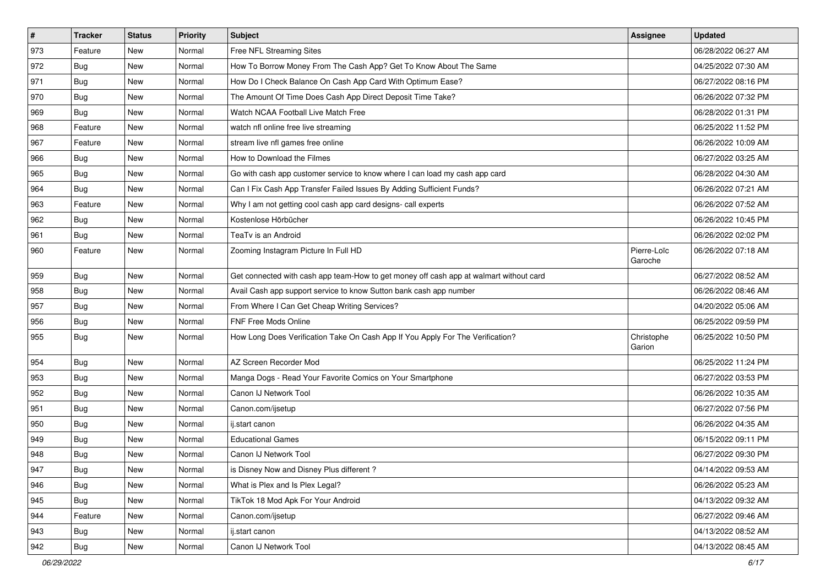| $\sharp$ | <b>Tracker</b> | <b>Status</b> | <b>Priority</b> | <b>Subject</b>                                                                         | Assignee               | <b>Updated</b>      |
|----------|----------------|---------------|-----------------|----------------------------------------------------------------------------------------|------------------------|---------------------|
| 973      | Feature        | New           | Normal          | Free NFL Streaming Sites                                                               |                        | 06/28/2022 06:27 AM |
| 972      | Bug            | New           | Normal          | How To Borrow Money From The Cash App? Get To Know About The Same                      |                        | 04/25/2022 07:30 AM |
| 971      | <b>Bug</b>     | New           | Normal          | How Do I Check Balance On Cash App Card With Optimum Ease?                             |                        | 06/27/2022 08:16 PM |
| 970      | <b>Bug</b>     | New           | Normal          | The Amount Of Time Does Cash App Direct Deposit Time Take?                             |                        | 06/26/2022 07:32 PM |
| 969      | <b>Bug</b>     | New           | Normal          | Watch NCAA Football Live Match Free                                                    |                        | 06/28/2022 01:31 PM |
| 968      | Feature        | New           | Normal          | watch nfl online free live streaming                                                   |                        | 06/25/2022 11:52 PM |
| 967      | Feature        | New           | Normal          | stream live nfl games free online                                                      |                        | 06/26/2022 10:09 AM |
| 966      | <b>Bug</b>     | New           | Normal          | How to Download the Filmes                                                             |                        | 06/27/2022 03:25 AM |
| 965      | Bug            | New           | Normal          | Go with cash app customer service to know where I can load my cash app card            |                        | 06/28/2022 04:30 AM |
| 964      | <b>Bug</b>     | New           | Normal          | Can I Fix Cash App Transfer Failed Issues By Adding Sufficient Funds?                  |                        | 06/26/2022 07:21 AM |
| 963      | Feature        | New           | Normal          | Why I am not getting cool cash app card designs- call experts                          |                        | 06/26/2022 07:52 AM |
| 962      | <b>Bug</b>     | New           | Normal          | Kostenlose Hörbücher                                                                   |                        | 06/26/2022 10:45 PM |
| 961      | <b>Bug</b>     | New           | Normal          | TeaTv is an Android                                                                    |                        | 06/26/2022 02:02 PM |
| 960      | Feature        | New           | Normal          | Zooming Instagram Picture In Full HD                                                   | Pierre-Loïc<br>Garoche | 06/26/2022 07:18 AM |
| 959      | Bug            | <b>New</b>    | Normal          | Get connected with cash app team-How to get money off cash app at walmart without card |                        | 06/27/2022 08:52 AM |
| 958      | <b>Bug</b>     | New           | Normal          | Avail Cash app support service to know Sutton bank cash app number                     |                        | 06/26/2022 08:46 AM |
| 957      | Bug            | New           | Normal          | From Where I Can Get Cheap Writing Services?                                           |                        | 04/20/2022 05:06 AM |
| 956      | <b>Bug</b>     | New           | Normal          | <b>FNF Free Mods Online</b>                                                            |                        | 06/25/2022 09:59 PM |
| 955      | <b>Bug</b>     | New           | Normal          | How Long Does Verification Take On Cash App If You Apply For The Verification?         | Christophe<br>Garion   | 06/25/2022 10:50 PM |
| 954      | Bug            | New           | Normal          | AZ Screen Recorder Mod                                                                 |                        | 06/25/2022 11:24 PM |
| 953      | <b>Bug</b>     | New           | Normal          | Manga Dogs - Read Your Favorite Comics on Your Smartphone                              |                        | 06/27/2022 03:53 PM |
| 952      | <b>Bug</b>     | New           | Normal          | Canon IJ Network Tool                                                                  |                        | 06/26/2022 10:35 AM |
| 951      | <b>Bug</b>     | New           | Normal          | Canon.com/ijsetup                                                                      |                        | 06/27/2022 07:56 PM |
| 950      | <b>Bug</b>     | New           | Normal          | ij.start canon                                                                         |                        | 06/26/2022 04:35 AM |
| 949      | <b>Bug</b>     | New           | Normal          | <b>Educational Games</b>                                                               |                        | 06/15/2022 09:11 PM |
| 948      | <b>Bug</b>     | New           | Normal          | Canon IJ Network Tool                                                                  |                        | 06/27/2022 09:30 PM |
| 947      | Bug            | New           | Normal          | is Disney Now and Disney Plus different?                                               |                        | 04/14/2022 09:53 AM |
| 946      | <b>Bug</b>     | New           | Normal          | What is Plex and Is Plex Legal?                                                        |                        | 06/26/2022 05:23 AM |
| 945      | <b>Bug</b>     | New           | Normal          | TikTok 18 Mod Apk For Your Android                                                     |                        | 04/13/2022 09:32 AM |
| 944      | Feature        | New           | Normal          | Canon.com/ijsetup                                                                      |                        | 06/27/2022 09:46 AM |
| 943      | <b>Bug</b>     | New           | Normal          | ij.start canon                                                                         |                        | 04/13/2022 08:52 AM |
| 942      | <b>Bug</b>     | New           | Normal          | Canon IJ Network Tool                                                                  |                        | 04/13/2022 08:45 AM |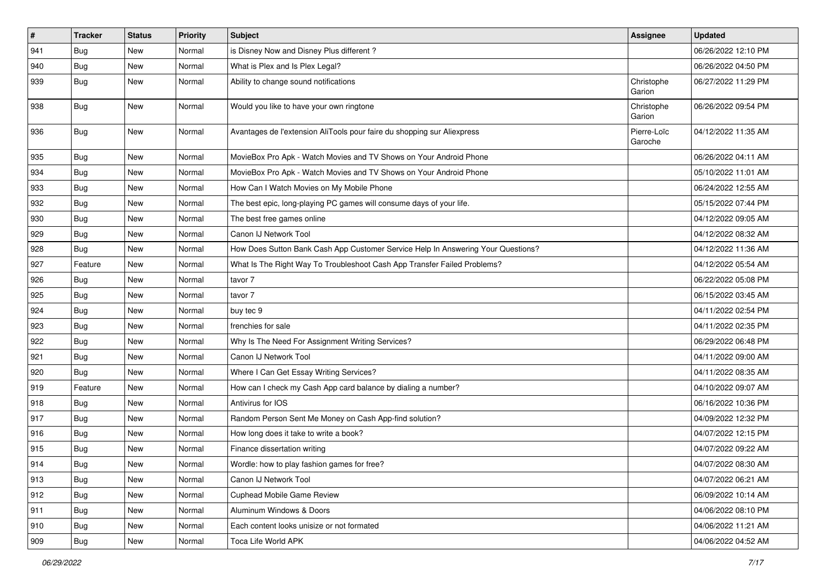| $\vert$ # | <b>Tracker</b> | <b>Status</b> | <b>Priority</b> | <b>Subject</b>                                                                   | <b>Assignee</b>        | <b>Updated</b>      |
|-----------|----------------|---------------|-----------------|----------------------------------------------------------------------------------|------------------------|---------------------|
| 941       | <b>Bug</b>     | New           | Normal          | is Disney Now and Disney Plus different?                                         |                        | 06/26/2022 12:10 PM |
| 940       | Bug            | <b>New</b>    | Normal          | What is Plex and Is Plex Legal?                                                  |                        | 06/26/2022 04:50 PM |
| 939       | <b>Bug</b>     | New           | Normal          | Ability to change sound notifications                                            | Christophe<br>Garion   | 06/27/2022 11:29 PM |
| 938       | <b>Bug</b>     | <b>New</b>    | Normal          | Would you like to have your own ringtone                                         | Christophe<br>Garion   | 06/26/2022 09:54 PM |
| 936       | <b>Bug</b>     | New           | Normal          | Avantages de l'extension AliTools pour faire du shopping sur Aliexpress          | Pierre-Loïc<br>Garoche | 04/12/2022 11:35 AM |
| 935       | <b>Bug</b>     | New           | Normal          | MovieBox Pro Apk - Watch Movies and TV Shows on Your Android Phone               |                        | 06/26/2022 04:11 AM |
| 934       | Bug            | New           | Normal          | MovieBox Pro Apk - Watch Movies and TV Shows on Your Android Phone               |                        | 05/10/2022 11:01 AM |
| 933       | Bug            | New           | Normal          | How Can I Watch Movies on My Mobile Phone                                        |                        | 06/24/2022 12:55 AM |
| 932       | Bug            | New           | Normal          | The best epic, long-playing PC games will consume days of your life.             |                        | 05/15/2022 07:44 PM |
| 930       | <b>Bug</b>     | <b>New</b>    | Normal          | The best free games online                                                       |                        | 04/12/2022 09:05 AM |
| 929       | <b>Bug</b>     | New           | Normal          | Canon IJ Network Tool                                                            |                        | 04/12/2022 08:32 AM |
| 928       | Bug            | New           | Normal          | How Does Sutton Bank Cash App Customer Service Help In Answering Your Questions? |                        | 04/12/2022 11:36 AM |
| 927       | Feature        | New           | Normal          | What Is The Right Way To Troubleshoot Cash App Transfer Failed Problems?         |                        | 04/12/2022 05:54 AM |
| 926       | <b>Bug</b>     | New           | Normal          | tavor 7                                                                          |                        | 06/22/2022 05:08 PM |
| 925       | Bug            | New           | Normal          | tavor 7                                                                          |                        | 06/15/2022 03:45 AM |
| 924       | <b>Bug</b>     | New           | Normal          | buy tec 9                                                                        |                        | 04/11/2022 02:54 PM |
| 923       | Bug            | New           | Normal          | frenchies for sale                                                               |                        | 04/11/2022 02:35 PM |
| 922       | Bug            | <b>New</b>    | Normal          | Why Is The Need For Assignment Writing Services?                                 |                        | 06/29/2022 06:48 PM |
| 921       | <b>Bug</b>     | New           | Normal          | Canon IJ Network Tool                                                            |                        | 04/11/2022 09:00 AM |
| 920       | <b>Bug</b>     | New           | Normal          | Where I Can Get Essay Writing Services?                                          |                        | 04/11/2022 08:35 AM |
| 919       | Feature        | New           | Normal          | How can I check my Cash App card balance by dialing a number?                    |                        | 04/10/2022 09:07 AM |
| 918       | <b>Bug</b>     | New           | Normal          | Antivirus for IOS                                                                |                        | 06/16/2022 10:36 PM |
| 917       | Bug            | <b>New</b>    | Normal          | Random Person Sent Me Money on Cash App-find solution?                           |                        | 04/09/2022 12:32 PM |
| 916       | <b>Bug</b>     | New           | Normal          | How long does it take to write a book?                                           |                        | 04/07/2022 12:15 PM |
| 915       | <b>Bug</b>     | New           | Normal          | Finance dissertation writing                                                     |                        | 04/07/2022 09:22 AM |
| 914       | Bug            | New           | Normal          | Wordle: how to play fashion games for free?                                      |                        | 04/07/2022 08:30 AM |
| 913       | Bug            | New           | Normal          | Canon IJ Network Tool                                                            |                        | 04/07/2022 06:21 AM |
| 912       | Bug            | New           | Normal          | Cuphead Mobile Game Review                                                       |                        | 06/09/2022 10:14 AM |
| 911       | <b>Bug</b>     | New           | Normal          | Aluminum Windows & Doors                                                         |                        | 04/06/2022 08:10 PM |
| 910       | Bug            | New           | Normal          | Each content looks unisize or not formated                                       |                        | 04/06/2022 11:21 AM |
| 909       | <b>Bug</b>     | New           | Normal          | Toca Life World APK                                                              |                        | 04/06/2022 04:52 AM |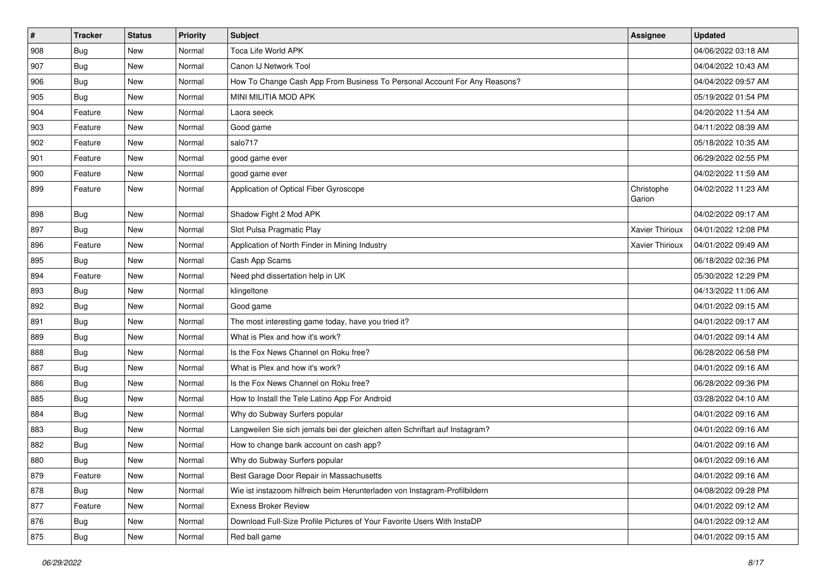| $\vert$ # | <b>Tracker</b> | <b>Status</b> | <b>Priority</b> | Subject                                                                     | Assignee             | <b>Updated</b>      |
|-----------|----------------|---------------|-----------------|-----------------------------------------------------------------------------|----------------------|---------------------|
| 908       | <b>Bug</b>     | New           | Normal          | Toca Life World APK                                                         |                      | 04/06/2022 03:18 AM |
| 907       | <b>Bug</b>     | New           | Normal          | Canon IJ Network Tool                                                       |                      | 04/04/2022 10:43 AM |
| 906       | Bug            | New           | Normal          | How To Change Cash App From Business To Personal Account For Any Reasons?   |                      | 04/04/2022 09:57 AM |
| 905       | <b>Bug</b>     | New           | Normal          | MINI MILITIA MOD APK                                                        |                      | 05/19/2022 01:54 PM |
| 904       | Feature        | New           | Normal          | Laora seeck                                                                 |                      | 04/20/2022 11:54 AM |
| 903       | Feature        | New           | Normal          | Good game                                                                   |                      | 04/11/2022 08:39 AM |
| 902       | Feature        | New           | Normal          | salo717                                                                     |                      | 05/18/2022 10:35 AM |
| 901       | Feature        | New           | Normal          | good game ever                                                              |                      | 06/29/2022 02:55 PM |
| 900       | Feature        | New           | Normal          | good game ever                                                              |                      | 04/02/2022 11:59 AM |
| 899       | Feature        | New           | Normal          | Application of Optical Fiber Gyroscope                                      | Christophe<br>Garion | 04/02/2022 11:23 AM |
| 898       | <b>Bug</b>     | New           | Normal          | Shadow Fight 2 Mod APK                                                      |                      | 04/02/2022 09:17 AM |
| 897       | Bug            | New           | Normal          | Slot Pulsa Pragmatic Play                                                   | Xavier Thirioux      | 04/01/2022 12:08 PM |
| 896       | Feature        | New           | Normal          | Application of North Finder in Mining Industry                              | Xavier Thirioux      | 04/01/2022 09:49 AM |
| 895       | <b>Bug</b>     | New           | Normal          | Cash App Scams                                                              |                      | 06/18/2022 02:36 PM |
| 894       | Feature        | New           | Normal          | Need phd dissertation help in UK                                            |                      | 05/30/2022 12:29 PM |
| 893       | <b>Bug</b>     | New           | Normal          | klingeltone                                                                 |                      | 04/13/2022 11:06 AM |
| 892       | Bug            | New           | Normal          | Good game                                                                   |                      | 04/01/2022 09:15 AM |
| 891       | <b>Bug</b>     | New           | Normal          | The most interesting game today, have you tried it?                         |                      | 04/01/2022 09:17 AM |
| 889       | Bug            | New           | Normal          | What is Plex and how it's work?                                             |                      | 04/01/2022 09:14 AM |
| 888       | Bug            | New           | Normal          | Is the Fox News Channel on Roku free?                                       |                      | 06/28/2022 06:58 PM |
| 887       | <b>Bug</b>     | New           | Normal          | What is Plex and how it's work?                                             |                      | 04/01/2022 09:16 AM |
| 886       | <b>Bug</b>     | New           | Normal          | Is the Fox News Channel on Roku free?                                       |                      | 06/28/2022 09:36 PM |
| 885       | <b>Bug</b>     | New           | Normal          | How to Install the Tele Latino App For Android                              |                      | 03/28/2022 04:10 AM |
| 884       | <b>Bug</b>     | New           | Normal          | Why do Subway Surfers popular                                               |                      | 04/01/2022 09:16 AM |
| 883       | <b>Bug</b>     | New           | Normal          | Langweilen Sie sich jemals bei der gleichen alten Schriftart auf Instagram? |                      | 04/01/2022 09:16 AM |
| 882       | <b>Bug</b>     | New           | Normal          | How to change bank account on cash app?                                     |                      | 04/01/2022 09:16 AM |
| 880       | <b>Bug</b>     | New           | Normal          | Why do Subway Surfers popular                                               |                      | 04/01/2022 09:16 AM |
| 879       | Feature        | New           | Normal          | Best Garage Door Repair in Massachusetts                                    |                      | 04/01/2022 09:16 AM |
| 878       | Bug            | New           | Normal          | Wie ist instazoom hilfreich beim Herunterladen von Instagram-Profilbildern  |                      | 04/08/2022 09:28 PM |
| 877       | Feature        | New           | Normal          | <b>Exness Broker Review</b>                                                 |                      | 04/01/2022 09:12 AM |
| 876       | <b>Bug</b>     | New           | Normal          | Download Full-Size Profile Pictures of Your Favorite Users With InstaDP     |                      | 04/01/2022 09:12 AM |
| 875       | <b>Bug</b>     | New           | Normal          | Red ball game                                                               |                      | 04/01/2022 09:15 AM |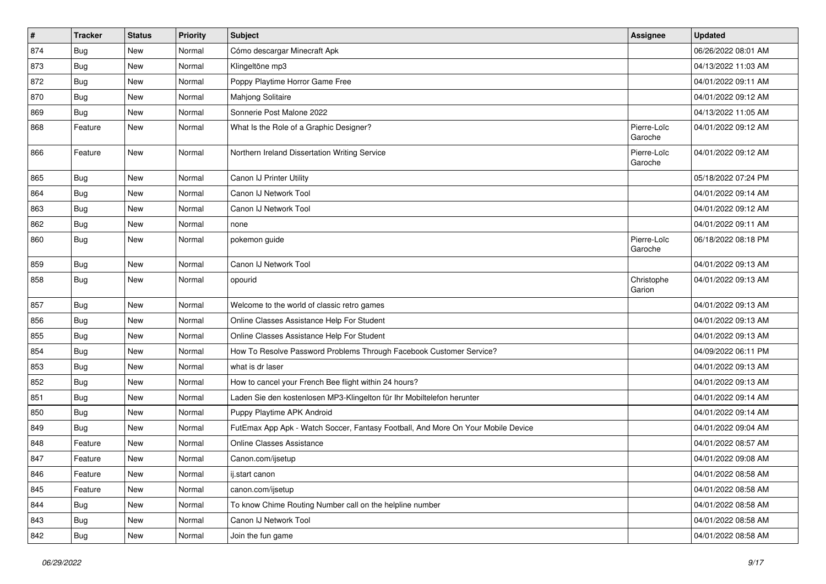| $\vert$ # | <b>Tracker</b> | <b>Status</b> | <b>Priority</b> | <b>Subject</b>                                                                   | <b>Assignee</b>        | <b>Updated</b>      |
|-----------|----------------|---------------|-----------------|----------------------------------------------------------------------------------|------------------------|---------------------|
| 874       | <b>Bug</b>     | New           | Normal          | Cómo descargar Minecraft Apk                                                     |                        | 06/26/2022 08:01 AM |
| 873       | <b>Bug</b>     | New           | Normal          | Klingeltöne mp3                                                                  |                        | 04/13/2022 11:03 AM |
| 872       | <b>Bug</b>     | New           | Normal          | Poppy Playtime Horror Game Free                                                  |                        | 04/01/2022 09:11 AM |
| 870       | <b>Bug</b>     | New           | Normal          | Mahjong Solitaire                                                                |                        | 04/01/2022 09:12 AM |
| 869       | <b>Bug</b>     | New           | Normal          | Sonnerie Post Malone 2022                                                        |                        | 04/13/2022 11:05 AM |
| 868       | Feature        | New           | Normal          | What Is the Role of a Graphic Designer?                                          | Pierre-Loïc<br>Garoche | 04/01/2022 09:12 AM |
| 866       | Feature        | New           | Normal          | Northern Ireland Dissertation Writing Service                                    | Pierre-Loïc<br>Garoche | 04/01/2022 09:12 AM |
| 865       | Bug            | New           | Normal          | Canon IJ Printer Utility                                                         |                        | 05/18/2022 07:24 PM |
| 864       | <b>Bug</b>     | New           | Normal          | Canon IJ Network Tool                                                            |                        | 04/01/2022 09:14 AM |
| 863       | <b>Bug</b>     | New           | Normal          | Canon IJ Network Tool                                                            |                        | 04/01/2022 09:12 AM |
| 862       | <b>Bug</b>     | New           | Normal          | none                                                                             |                        | 04/01/2022 09:11 AM |
| 860       | <b>Bug</b>     | New           | Normal          | pokemon guide                                                                    | Pierre-Loïc<br>Garoche | 06/18/2022 08:18 PM |
| 859       | <b>Bug</b>     | New           | Normal          | Canon IJ Network Tool                                                            |                        | 04/01/2022 09:13 AM |
| 858       | <b>Bug</b>     | New           | Normal          | opourid                                                                          | Christophe<br>Garion   | 04/01/2022 09:13 AM |
| 857       | <b>Bug</b>     | New           | Normal          | Welcome to the world of classic retro games                                      |                        | 04/01/2022 09:13 AM |
| 856       | <b>Bug</b>     | New           | Normal          | Online Classes Assistance Help For Student                                       |                        | 04/01/2022 09:13 AM |
| 855       | <b>Bug</b>     | New           | Normal          | Online Classes Assistance Help For Student                                       |                        | 04/01/2022 09:13 AM |
| 854       | <b>Bug</b>     | New           | Normal          | How To Resolve Password Problems Through Facebook Customer Service?              |                        | 04/09/2022 06:11 PM |
| 853       | <b>Bug</b>     | New           | Normal          | what is dr laser                                                                 |                        | 04/01/2022 09:13 AM |
| 852       | <b>Bug</b>     | New           | Normal          | How to cancel your French Bee flight within 24 hours?                            |                        | 04/01/2022 09:13 AM |
| 851       | <b>Bug</b>     | New           | Normal          | Laden Sie den kostenlosen MP3-Klingelton für Ihr Mobiltelefon herunter           |                        | 04/01/2022 09:14 AM |
| 850       | <b>Bug</b>     | New           | Normal          | Puppy Playtime APK Android                                                       |                        | 04/01/2022 09:14 AM |
| 849       | <b>Bug</b>     | New           | Normal          | FutEmax App Apk - Watch Soccer, Fantasy Football, And More On Your Mobile Device |                        | 04/01/2022 09:04 AM |
| 848       | Feature        | New           | Normal          | <b>Online Classes Assistance</b>                                                 |                        | 04/01/2022 08:57 AM |
| 847       | Feature        | New           | Normal          | Canon.com/ijsetup                                                                |                        | 04/01/2022 09:08 AM |
| 846       | Feature        | New           | Normal          | ij.start canon                                                                   |                        | 04/01/2022 08:58 AM |
| 845       | Feature        | New           | Normal          | canon.com/ijsetup                                                                |                        | 04/01/2022 08:58 AM |
| 844       | Bug            | New           | Normal          | To know Chime Routing Number call on the helpline number                         |                        | 04/01/2022 08:58 AM |
| 843       | <b>Bug</b>     | New           | Normal          | Canon IJ Network Tool                                                            |                        | 04/01/2022 08:58 AM |
| 842       | <b>Bug</b>     | New           | Normal          | Join the fun game                                                                |                        | 04/01/2022 08:58 AM |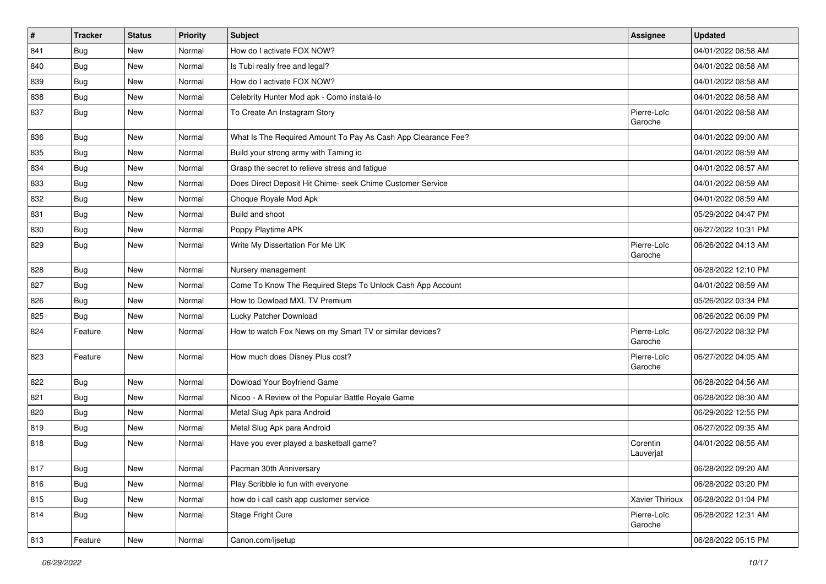| #   | Tracker    | <b>Status</b> | <b>Priority</b> | <b>Subject</b>                                                | <b>Assignee</b>        | <b>Updated</b>      |
|-----|------------|---------------|-----------------|---------------------------------------------------------------|------------------------|---------------------|
| 841 | <b>Bug</b> | New           | Normal          | How do I activate FOX NOW?                                    |                        | 04/01/2022 08:58 AM |
| 840 | <b>Bug</b> | <b>New</b>    | Normal          | Is Tubi really free and legal?                                |                        | 04/01/2022 08:58 AM |
| 839 | <b>Bug</b> | New           | Normal          | How do I activate FOX NOW?                                    |                        | 04/01/2022 08:58 AM |
| 838 | <b>Bug</b> | <b>New</b>    | Normal          | Celebrity Hunter Mod apk - Como instalá-lo                    |                        | 04/01/2022 08:58 AM |
| 837 | <b>Bug</b> | <b>New</b>    | Normal          | To Create An Instagram Story                                  | Pierre-Loïc<br>Garoche | 04/01/2022 08:58 AM |
| 836 | <b>Bug</b> | <b>New</b>    | Normal          | What Is The Required Amount To Pay As Cash App Clearance Fee? |                        | 04/01/2022 09:00 AM |
| 835 | <b>Bug</b> | New           | Normal          | Build your strong army with Taming io                         |                        | 04/01/2022 08:59 AM |
| 834 | <b>Bug</b> | New           | Normal          | Grasp the secret to relieve stress and fatigue                |                        | 04/01/2022 08:57 AM |
| 833 | Bug        | <b>New</b>    | Normal          | Does Direct Deposit Hit Chime- seek Chime Customer Service    |                        | 04/01/2022 08:59 AM |
| 832 | <b>Bug</b> | New           | Normal          | Choque Royale Mod Apk                                         |                        | 04/01/2022 08:59 AM |
| 831 | Bug        | New           | Normal          | Build and shoot                                               |                        | 05/29/2022 04:47 PM |
| 830 | <b>Bug</b> | New           | Normal          | Poppy Playtime APK                                            |                        | 06/27/2022 10:31 PM |
| 829 | <b>Bug</b> | <b>New</b>    | Normal          | Write My Dissertation For Me UK                               | Pierre-Loïc<br>Garoche | 06/26/2022 04:13 AM |
| 828 | <b>Bug</b> | New           | Normal          | Nursery management                                            |                        | 06/28/2022 12:10 PM |
| 827 | <b>Bug</b> | New           | Normal          | Come To Know The Required Steps To Unlock Cash App Account    |                        | 04/01/2022 08:59 AM |
| 826 | <b>Bug</b> | <b>New</b>    | Normal          | How to Dowload MXL TV Premium                                 |                        | 05/26/2022 03:34 PM |
| 825 | Bug        | New           | Normal          | Lucky Patcher Download                                        |                        | 06/26/2022 06:09 PM |
| 824 | Feature    | <b>New</b>    | Normal          | How to watch Fox News on my Smart TV or similar devices?      | Pierre-Loïc<br>Garoche | 06/27/2022 08:32 PM |
| 823 | Feature    | <b>New</b>    | Normal          | How much does Disney Plus cost?                               | Pierre-Loïc<br>Garoche | 06/27/2022 04:05 AM |
| 822 | Bug        | New           | Normal          | Dowload Your Boyfriend Game                                   |                        | 06/28/2022 04:56 AM |
| 821 | <b>Bug</b> | New           | Normal          | Nicoo - A Review of the Popular Battle Royale Game            |                        | 06/28/2022 08:30 AM |
| 820 | Bug        | <b>New</b>    | Normal          | Metal Slug Apk para Android                                   |                        | 06/29/2022 12:55 PM |
| 819 | <b>Bug</b> | New           | Normal          | Metal Slug Apk para Android                                   |                        | 06/27/2022 09:35 AM |
| 818 | Bug        | New           | Normal          | Have you ever played a basketball game?                       | Corentin<br>Lauverjat  | 04/01/2022 08:55 AM |
| 817 | <b>Bug</b> | New           | Normal          | Pacman 30th Anniversary                                       |                        | 06/28/2022 09:20 AM |
| 816 | Bug        | New           | Normal          | Play Scribble io fun with everyone                            |                        | 06/28/2022 03:20 PM |
| 815 | Bug        | New           | Normal          | how do i call cash app customer service                       | Xavier Thirioux        | 06/28/2022 01:04 PM |
| 814 | Bug        | New           | Normal          | <b>Stage Fright Cure</b>                                      | Pierre-Loïc<br>Garoche | 06/28/2022 12:31 AM |
| 813 | Feature    | New           | Normal          | Canon.com/ijsetup                                             |                        | 06/28/2022 05:15 PM |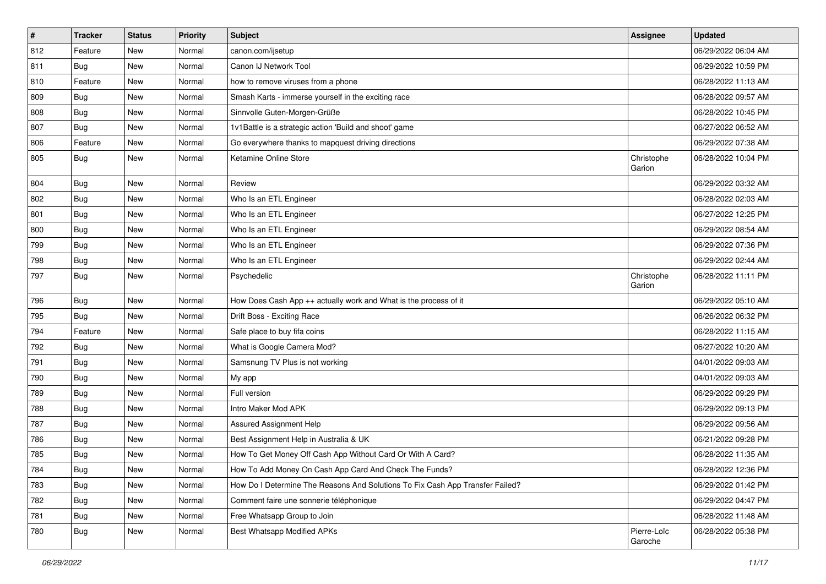| $\vert$ # | <b>Tracker</b> | <b>Status</b> | <b>Priority</b> | <b>Subject</b>                                                                | Assignee               | <b>Updated</b>      |
|-----------|----------------|---------------|-----------------|-------------------------------------------------------------------------------|------------------------|---------------------|
| 812       | Feature        | New           | Normal          | canon.com/ijsetup                                                             |                        | 06/29/2022 06:04 AM |
| 811       | <b>Bug</b>     | <b>New</b>    | Normal          | Canon IJ Network Tool                                                         |                        | 06/29/2022 10:59 PM |
| 810       | Feature        | New           | Normal          | how to remove viruses from a phone                                            |                        | 06/28/2022 11:13 AM |
| 809       | <b>Bug</b>     | New           | Normal          | Smash Karts - immerse yourself in the exciting race                           |                        | 06/28/2022 09:57 AM |
| 808       | <b>Bug</b>     | <b>New</b>    | Normal          | Sinnvolle Guten-Morgen-Grüße                                                  |                        | 06/28/2022 10:45 PM |
| 807       | Bug            | <b>New</b>    | Normal          | 1v1Battle is a strategic action 'Build and shoot' game                        |                        | 06/27/2022 06:52 AM |
| 806       | Feature        | New           | Normal          | Go everywhere thanks to mapquest driving directions                           |                        | 06/29/2022 07:38 AM |
| 805       | Bug            | New           | Normal          | Ketamine Online Store                                                         | Christophe<br>Garion   | 06/28/2022 10:04 PM |
| 804       | Bug            | <b>New</b>    | Normal          | Review                                                                        |                        | 06/29/2022 03:32 AM |
| 802       | <b>Bug</b>     | New           | Normal          | Who Is an ETL Engineer                                                        |                        | 06/28/2022 02:03 AM |
| 801       | <b>Bug</b>     | New           | Normal          | Who Is an ETL Engineer                                                        |                        | 06/27/2022 12:25 PM |
| 800       | <b>Bug</b>     | <b>New</b>    | Normal          | Who Is an ETL Engineer                                                        |                        | 06/29/2022 08:54 AM |
| 799       | <b>Bug</b>     | <b>New</b>    | Normal          | Who Is an ETL Engineer                                                        |                        | 06/29/2022 07:36 PM |
| 798       | <b>Bug</b>     | <b>New</b>    | Normal          | Who Is an ETL Engineer                                                        |                        | 06/29/2022 02:44 AM |
| 797       | Bug            | New           | Normal          | Psychedelic                                                                   | Christophe<br>Garion   | 06/28/2022 11:11 PM |
| 796       | Bug            | New           | Normal          | How Does Cash App ++ actually work and What is the process of it              |                        | 06/29/2022 05:10 AM |
| 795       | <b>Bug</b>     | New           | Normal          | Drift Boss - Exciting Race                                                    |                        | 06/26/2022 06:32 PM |
| 794       | Feature        | New           | Normal          | Safe place to buy fifa coins                                                  |                        | 06/28/2022 11:15 AM |
| 792       | <b>Bug</b>     | <b>New</b>    | Normal          | What is Google Camera Mod?                                                    |                        | 06/27/2022 10:20 AM |
| 791       | <b>Bug</b>     | <b>New</b>    | Normal          | Samsnung TV Plus is not working                                               |                        | 04/01/2022 09:03 AM |
| 790       | Bug            | <b>New</b>    | Normal          | My app                                                                        |                        | 04/01/2022 09:03 AM |
| 789       | <b>Bug</b>     | New           | Normal          | Full version                                                                  |                        | 06/29/2022 09:29 PM |
| 788       | <b>Bug</b>     | New           | Normal          | Intro Maker Mod APK                                                           |                        | 06/29/2022 09:13 PM |
| 787       | <b>Bug</b>     | <b>New</b>    | Normal          | <b>Assured Assignment Help</b>                                                |                        | 06/29/2022 09:56 AM |
| 786       | <b>Bug</b>     | <b>New</b>    | Normal          | Best Assignment Help in Australia & UK                                        |                        | 06/21/2022 09:28 PM |
| 785       | <b>Bug</b>     | <b>New</b>    | Normal          | How To Get Money Off Cash App Without Card Or With A Card?                    |                        | 06/28/2022 11:35 AM |
| 784       | <b>Bug</b>     | New           | Normal          | How To Add Money On Cash App Card And Check The Funds?                        |                        | 06/28/2022 12:36 PM |
| 783       | Bug            | <b>New</b>    | Normal          | How Do I Determine The Reasons And Solutions To Fix Cash App Transfer Failed? |                        | 06/29/2022 01:42 PM |
| 782       | Bug            | New           | Normal          | Comment faire une sonnerie téléphonique                                       |                        | 06/29/2022 04:47 PM |
| 781       | <b>Bug</b>     | New           | Normal          | Free Whatsapp Group to Join                                                   |                        | 06/28/2022 11:48 AM |
| 780       | <b>Bug</b>     | New           | Normal          | Best Whatsapp Modified APKs                                                   | Pierre-Loïc<br>Garoche | 06/28/2022 05:38 PM |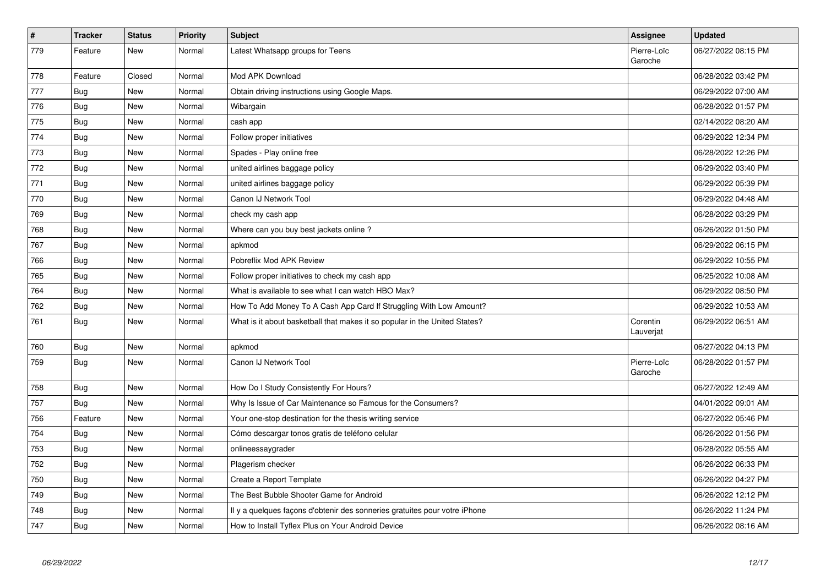| $\pmb{\#}$ | <b>Tracker</b> | <b>Status</b> | <b>Priority</b> | <b>Subject</b>                                                             | Assignee               | <b>Updated</b>      |
|------------|----------------|---------------|-----------------|----------------------------------------------------------------------------|------------------------|---------------------|
| 779        | Feature        | <b>New</b>    | Normal          | Latest Whatsapp groups for Teens                                           | Pierre-Loïc<br>Garoche | 06/27/2022 08:15 PM |
| 778        | Feature        | Closed        | Normal          | Mod APK Download                                                           |                        | 06/28/2022 03:42 PM |
| 777        | Bug            | <b>New</b>    | Normal          | Obtain driving instructions using Google Maps.                             |                        | 06/29/2022 07:00 AM |
| 776        | <b>Bug</b>     | <b>New</b>    | Normal          | Wibargain                                                                  |                        | 06/28/2022 01:57 PM |
| 775        | Bug            | New           | Normal          | cash app                                                                   |                        | 02/14/2022 08:20 AM |
| 774        | <b>Bug</b>     | New           | Normal          | Follow proper initiatives                                                  |                        | 06/29/2022 12:34 PM |
| 773        | <b>Bug</b>     | <b>New</b>    | Normal          | Spades - Play online free                                                  |                        | 06/28/2022 12:26 PM |
| 772        | <b>Bug</b>     | <b>New</b>    | Normal          | united airlines baggage policy                                             |                        | 06/29/2022 03:40 PM |
| 771        | Bug            | <b>New</b>    | Normal          | united airlines baggage policy                                             |                        | 06/29/2022 05:39 PM |
| 770        | <b>Bug</b>     | <b>New</b>    | Normal          | Canon IJ Network Tool                                                      |                        | 06/29/2022 04:48 AM |
| 769        | Bug            | <b>New</b>    | Normal          | check my cash app                                                          |                        | 06/28/2022 03:29 PM |
| 768        | <b>Bug</b>     | <b>New</b>    | Normal          | Where can you buy best jackets online?                                     |                        | 06/26/2022 01:50 PM |
| 767        | Bug            | <b>New</b>    | Normal          | apkmod                                                                     |                        | 06/29/2022 06:15 PM |
| 766        | <b>Bug</b>     | New           | Normal          | Pobreflix Mod APK Review                                                   |                        | 06/29/2022 10:55 PM |
| 765        | <b>Bug</b>     | New           | Normal          | Follow proper initiatives to check my cash app                             |                        | 06/25/2022 10:08 AM |
| 764        | Bug            | <b>New</b>    | Normal          | What is available to see what I can watch HBO Max?                         |                        | 06/29/2022 08:50 PM |
| 762        | Bug            | New           | Normal          | How To Add Money To A Cash App Card If Struggling With Low Amount?         |                        | 06/29/2022 10:53 AM |
| 761        | Bug            | New           | Normal          | What is it about basketball that makes it so popular in the United States? | Corentin<br>Lauverjat  | 06/29/2022 06:51 AM |
| 760        | <b>Bug</b>     | <b>New</b>    | Normal          | apkmod                                                                     |                        | 06/27/2022 04:13 PM |
| 759        | <b>Bug</b>     | New           | Normal          | Canon IJ Network Tool                                                      | Pierre-Loïc<br>Garoche | 06/28/2022 01:57 PM |
| 758        | Bug            | <b>New</b>    | Normal          | How Do I Study Consistently For Hours?                                     |                        | 06/27/2022 12:49 AM |
| 757        | Bug            | New           | Normal          | Why Is Issue of Car Maintenance so Famous for the Consumers?               |                        | 04/01/2022 09:01 AM |
| 756        | Feature        | New           | Normal          | Your one-stop destination for the thesis writing service                   |                        | 06/27/2022 05:46 PM |
| 754        | <b>Bug</b>     | New           | Normal          | Cómo descargar tonos gratis de teléfono celular                            |                        | 06/26/2022 01:56 PM |
| 753        | <b>Bug</b>     | New           | Normal          | onlineessaygrader                                                          |                        | 06/28/2022 05:55 AM |
| 752        | Bug            | New           | Normal          | Plagerism checker                                                          |                        | 06/26/2022 06:33 PM |
| 750        | <b>Bug</b>     | New           | Normal          | Create a Report Template                                                   |                        | 06/26/2022 04:27 PM |
| 749        | Bug            | <b>New</b>    | Normal          | The Best Bubble Shooter Game for Android                                   |                        | 06/26/2022 12:12 PM |
| 748        | <b>Bug</b>     | New           | Normal          | Il y a quelques façons d'obtenir des sonneries gratuites pour votre iPhone |                        | 06/26/2022 11:24 PM |
| 747        | Bug            | <b>New</b>    | Normal          | How to Install Tyflex Plus on Your Android Device                          |                        | 06/26/2022 08:16 AM |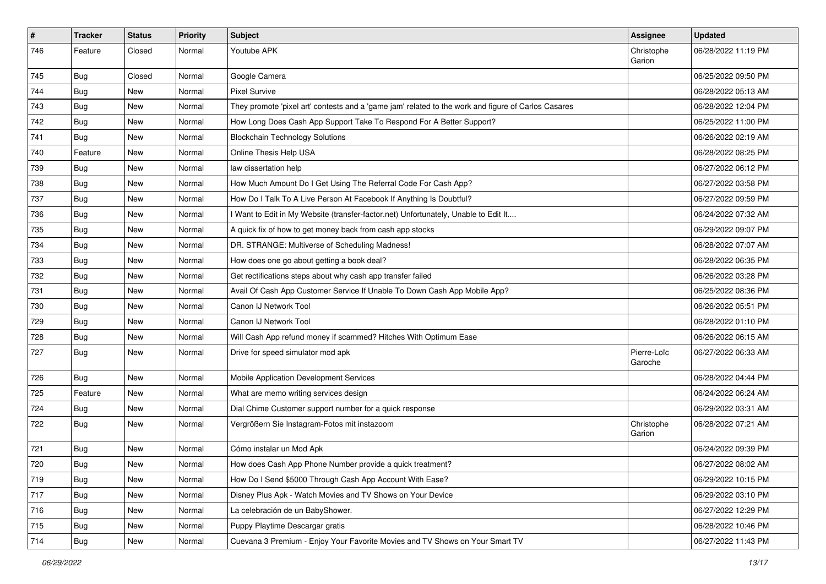| $\pmb{\#}$ | <b>Tracker</b> | <b>Status</b> | <b>Priority</b> | <b>Subject</b>                                                                                      | <b>Assignee</b>        | <b>Updated</b>      |
|------------|----------------|---------------|-----------------|-----------------------------------------------------------------------------------------------------|------------------------|---------------------|
| 746        | Feature        | Closed        | Normal          | Youtube APK                                                                                         | Christophe<br>Garion   | 06/28/2022 11:19 PM |
| 745        | <b>Bug</b>     | Closed        | Normal          | Google Camera                                                                                       |                        | 06/25/2022 09:50 PM |
| 744        | <b>Bug</b>     | New           | Normal          | <b>Pixel Survive</b>                                                                                |                        | 06/28/2022 05:13 AM |
| 743        | Bug            | New           | Normal          | They promote 'pixel art' contests and a 'game jam' related to the work and figure of Carlos Casares |                        | 06/28/2022 12:04 PM |
| 742        | <b>Bug</b>     | New           | Normal          | How Long Does Cash App Support Take To Respond For A Better Support?                                |                        | 06/25/2022 11:00 PM |
| 741        | <b>Bug</b>     | New           | Normal          | <b>Blockchain Technology Solutions</b>                                                              |                        | 06/26/2022 02:19 AM |
| 740        | Feature        | New           | Normal          | Online Thesis Help USA                                                                              |                        | 06/28/2022 08:25 PM |
| 739        | <b>Bug</b>     | New           | Normal          | law dissertation help                                                                               |                        | 06/27/2022 06:12 PM |
| 738        | <b>Bug</b>     | New           | Normal          | How Much Amount Do I Get Using The Referral Code For Cash App?                                      |                        | 06/27/2022 03:58 PM |
| 737        | <b>Bug</b>     | New           | Normal          | How Do I Talk To A Live Person At Facebook If Anything Is Doubtful?                                 |                        | 06/27/2022 09:59 PM |
| 736        | Bug            | New           | Normal          | I Want to Edit in My Website (transfer-factor.net) Unfortunately, Unable to Edit It                 |                        | 06/24/2022 07:32 AM |
| 735        | <b>Bug</b>     | New           | Normal          | A quick fix of how to get money back from cash app stocks                                           |                        | 06/29/2022 09:07 PM |
| 734        | <b>Bug</b>     | New           | Normal          | DR. STRANGE: Multiverse of Scheduling Madness!                                                      |                        | 06/28/2022 07:07 AM |
| 733        | Bug            | New           | Normal          | How does one go about getting a book deal?                                                          |                        | 06/28/2022 06:35 PM |
| 732        | <b>Bug</b>     | New           | Normal          | Get rectifications steps about why cash app transfer failed                                         |                        | 06/26/2022 03:28 PM |
| 731        | <b>Bug</b>     | New           | Normal          | Avail Of Cash App Customer Service If Unable To Down Cash App Mobile App?                           |                        | 06/25/2022 08:36 PM |
| 730        | Bug            | New           | Normal          | Canon IJ Network Tool                                                                               |                        | 06/26/2022 05:51 PM |
| 729        | <b>Bug</b>     | New           | Normal          | Canon IJ Network Tool                                                                               |                        | 06/28/2022 01:10 PM |
| 728        | <b>Bug</b>     | New           | Normal          | Will Cash App refund money if scammed? Hitches With Optimum Ease                                    |                        | 06/26/2022 06:15 AM |
| 727        | Bug            | New           | Normal          | Drive for speed simulator mod apk                                                                   | Pierre-Loïc<br>Garoche | 06/27/2022 06:33 AM |
| 726        | Bug            | New           | Normal          | Mobile Application Development Services                                                             |                        | 06/28/2022 04:44 PM |
| 725        | Feature        | New           | Normal          | What are memo writing services design                                                               |                        | 06/24/2022 06:24 AM |
| 724        | <b>Bug</b>     | New           | Normal          | Dial Chime Customer support number for a quick response                                             |                        | 06/29/2022 03:31 AM |
| 722        | Bug            | New           | Normal          | Vergrößern Sie Instagram-Fotos mit instazoom                                                        | Christophe<br>Garion   | 06/28/2022 07:21 AM |
| 721        | Bug            | New           | Normal          | Cómo instalar un Mod Apk                                                                            |                        | 06/24/2022 09:39 PM |
| 720        | Bug            | New           | Normal          | How does Cash App Phone Number provide a quick treatment?                                           |                        | 06/27/2022 08:02 AM |
| 719        | <b>Bug</b>     | New           | Normal          | How Do I Send \$5000 Through Cash App Account With Ease?                                            |                        | 06/29/2022 10:15 PM |
| 717        | Bug            | New           | Normal          | Disney Plus Apk - Watch Movies and TV Shows on Your Device                                          |                        | 06/29/2022 03:10 PM |
| 716        | Bug            | New           | Normal          | La celebración de un BabyShower.                                                                    |                        | 06/27/2022 12:29 PM |
| 715        | <b>Bug</b>     | New           | Normal          | Puppy Playtime Descargar gratis                                                                     |                        | 06/28/2022 10:46 PM |
| 714        | Bug            | New           | Normal          | Cuevana 3 Premium - Enjoy Your Favorite Movies and TV Shows on Your Smart TV                        |                        | 06/27/2022 11:43 PM |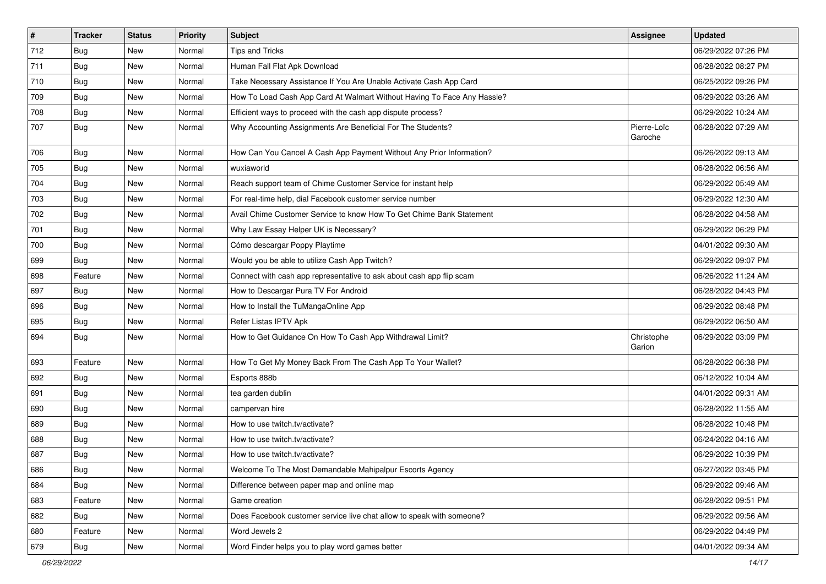| $\pmb{\#}$ | <b>Tracker</b> | <b>Status</b> | <b>Priority</b> | Subject                                                                 | Assignee               | <b>Updated</b>      |
|------------|----------------|---------------|-----------------|-------------------------------------------------------------------------|------------------------|---------------------|
| 712        | Bug            | New           | Normal          | <b>Tips and Tricks</b>                                                  |                        | 06/29/2022 07:26 PM |
| 711        | Bug            | New           | Normal          | Human Fall Flat Apk Download                                            |                        | 06/28/2022 08:27 PM |
| 710        | Bug            | New           | Normal          | Take Necessary Assistance If You Are Unable Activate Cash App Card      |                        | 06/25/2022 09:26 PM |
| 709        | <b>Bug</b>     | New           | Normal          | How To Load Cash App Card At Walmart Without Having To Face Any Hassle? |                        | 06/29/2022 03:26 AM |
| 708        | <b>Bug</b>     | New           | Normal          | Efficient ways to proceed with the cash app dispute process?            |                        | 06/29/2022 10:24 AM |
| 707        | Bug            | New           | Normal          | Why Accounting Assignments Are Beneficial For The Students?             | Pierre-Loïc<br>Garoche | 06/28/2022 07:29 AM |
| 706        | Bug            | <b>New</b>    | Normal          | How Can You Cancel A Cash App Payment Without Any Prior Information?    |                        | 06/26/2022 09:13 AM |
| 705        | Bug            | New           | Normal          | wuxiaworld                                                              |                        | 06/28/2022 06:56 AM |
| 704        | Bug            | <b>New</b>    | Normal          | Reach support team of Chime Customer Service for instant help           |                        | 06/29/2022 05:49 AM |
| 703        | Bug            | New           | Normal          | For real-time help, dial Facebook customer service number               |                        | 06/29/2022 12:30 AM |
| 702        | <b>Bug</b>     | New           | Normal          | Avail Chime Customer Service to know How To Get Chime Bank Statement    |                        | 06/28/2022 04:58 AM |
| 701        | <b>Bug</b>     | New           | Normal          | Why Law Essay Helper UK is Necessary?                                   |                        | 06/29/2022 06:29 PM |
| 700        | <b>Bug</b>     | New           | Normal          | Cómo descargar Poppy Playtime                                           |                        | 04/01/2022 09:30 AM |
| 699        | Bug            | New           | Normal          | Would you be able to utilize Cash App Twitch?                           |                        | 06/29/2022 09:07 PM |
| 698        | Feature        | New           | Normal          | Connect with cash app representative to ask about cash app flip scam    |                        | 06/26/2022 11:24 AM |
| 697        | <b>Bug</b>     | New           | Normal          | How to Descargar Pura TV For Android                                    |                        | 06/28/2022 04:43 PM |
| 696        | Bug            | New           | Normal          | How to Install the TuMangaOnline App                                    |                        | 06/29/2022 08:48 PM |
| 695        | Bug            | New           | Normal          | Refer Listas IPTV Apk                                                   |                        | 06/29/2022 06:50 AM |
| 694        | Bug            | New           | Normal          | How to Get Guidance On How To Cash App Withdrawal Limit?                | Christophe<br>Garion   | 06/29/2022 03:09 PM |
| 693        | Feature        | New           | Normal          | How To Get My Money Back From The Cash App To Your Wallet?              |                        | 06/28/2022 06:38 PM |
| 692        | Bug            | New           | Normal          | Esports 888b                                                            |                        | 06/12/2022 10:04 AM |
| 691        | <b>Bug</b>     | New           | Normal          | tea garden dublin                                                       |                        | 04/01/2022 09:31 AM |
| 690        | <b>Bug</b>     | New           | Normal          | campervan hire                                                          |                        | 06/28/2022 11:55 AM |
| 689        | Bug            | New           | Normal          | How to use twitch.tv/activate?                                          |                        | 06/28/2022 10:48 PM |
| 688        | <b>Bug</b>     | New           | Normal          | How to use twitch.tv/activate?                                          |                        | 06/24/2022 04:16 AM |
| 687        | <b>Bug</b>     | New           | Normal          | How to use twitch.tv/activate?                                          |                        | 06/29/2022 10:39 PM |
| 686        | Bug            | New           | Normal          | Welcome To The Most Demandable Mahipalpur Escorts Agency                |                        | 06/27/2022 03:45 PM |
| 684        | <b>Bug</b>     | New           | Normal          | Difference between paper map and online map                             |                        | 06/29/2022 09:46 AM |
| 683        | Feature        | New           | Normal          | Game creation                                                           |                        | 06/28/2022 09:51 PM |
| 682        | Bug            | New           | Normal          | Does Facebook customer service live chat allow to speak with someone?   |                        | 06/29/2022 09:56 AM |
| 680        | Feature        | New           | Normal          | Word Jewels 2                                                           |                        | 06/29/2022 04:49 PM |
| 679        | Bug            | New           | Normal          | Word Finder helps you to play word games better                         |                        | 04/01/2022 09:34 AM |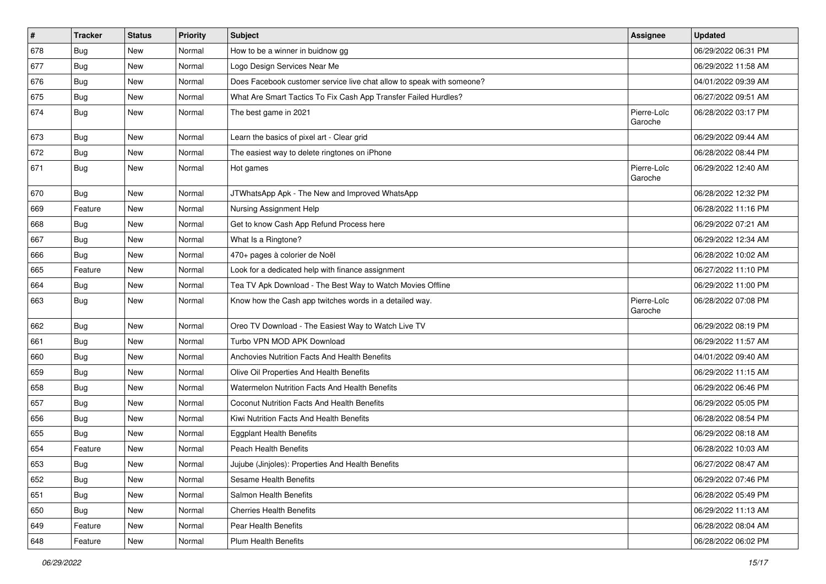| $\vert$ # | <b>Tracker</b> | <b>Status</b> | <b>Priority</b> | <b>Subject</b>                                                        | Assignee               | <b>Updated</b>      |
|-----------|----------------|---------------|-----------------|-----------------------------------------------------------------------|------------------------|---------------------|
| 678       | <b>Bug</b>     | New           | Normal          | How to be a winner in buidnow gg                                      |                        | 06/29/2022 06:31 PM |
| 677       | <b>Bug</b>     | New           | Normal          | Logo Design Services Near Me                                          |                        | 06/29/2022 11:58 AM |
| 676       | Bug            | New           | Normal          | Does Facebook customer service live chat allow to speak with someone? |                        | 04/01/2022 09:39 AM |
| 675       | <b>Bug</b>     | New           | Normal          | What Are Smart Tactics To Fix Cash App Transfer Failed Hurdles?       |                        | 06/27/2022 09:51 AM |
| 674       | <b>Bug</b>     | New           | Normal          | The best game in 2021                                                 | Pierre-Loïc<br>Garoche | 06/28/2022 03:17 PM |
| 673       | <b>Bug</b>     | New           | Normal          | Learn the basics of pixel art - Clear grid                            |                        | 06/29/2022 09:44 AM |
| 672       | <b>Bug</b>     | New           | Normal          | The easiest way to delete ringtones on iPhone                         |                        | 06/28/2022 08:44 PM |
| 671       | <b>Bug</b>     | New           | Normal          | Hot games                                                             | Pierre-Loïc<br>Garoche | 06/29/2022 12:40 AM |
| 670       | Bug            | New           | Normal          | JTWhatsApp Apk - The New and Improved WhatsApp                        |                        | 06/28/2022 12:32 PM |
| 669       | Feature        | New           | Normal          | Nursing Assignment Help                                               |                        | 06/28/2022 11:16 PM |
| 668       | Bug            | New           | Normal          | Get to know Cash App Refund Process here                              |                        | 06/29/2022 07:21 AM |
| 667       | <b>Bug</b>     | New           | Normal          | What Is a Ringtone?                                                   |                        | 06/29/2022 12:34 AM |
| 666       | <b>Bug</b>     | New           | Normal          | 470+ pages à colorier de Noël                                         |                        | 06/28/2022 10:02 AM |
| 665       | Feature        | New           | Normal          | Look for a dedicated help with finance assignment                     |                        | 06/27/2022 11:10 PM |
| 664       | <b>Bug</b>     | New           | Normal          | Tea TV Apk Download - The Best Way to Watch Movies Offline            |                        | 06/29/2022 11:00 PM |
| 663       | <b>Bug</b>     | New           | Normal          | Know how the Cash app twitches words in a detailed way.               | Pierre-Loïc<br>Garoche | 06/28/2022 07:08 PM |
| 662       | <b>Bug</b>     | New           | Normal          | Oreo TV Download - The Easiest Way to Watch Live TV                   |                        | 06/29/2022 08:19 PM |
| 661       | Bug            | New           | Normal          | Turbo VPN MOD APK Download                                            |                        | 06/29/2022 11:57 AM |
| 660       | <b>Bug</b>     | New           | Normal          | Anchovies Nutrition Facts And Health Benefits                         |                        | 04/01/2022 09:40 AM |
| 659       | <b>Bug</b>     | New           | Normal          | Olive Oil Properties And Health Benefits                              |                        | 06/29/2022 11:15 AM |
| 658       | <b>Bug</b>     | New           | Normal          | <b>Watermelon Nutrition Facts And Health Benefits</b>                 |                        | 06/29/2022 06:46 PM |
| 657       | <b>Bug</b>     | New           | Normal          | Coconut Nutrition Facts And Health Benefits                           |                        | 06/29/2022 05:05 PM |
| 656       | Bug            | New           | Normal          | Kiwi Nutrition Facts And Health Benefits                              |                        | 06/28/2022 08:54 PM |
| 655       | <b>Bug</b>     | New           | Normal          | <b>Eggplant Health Benefits</b>                                       |                        | 06/29/2022 08:18 AM |
| 654       | Feature        | New           | Normal          | Peach Health Benefits                                                 |                        | 06/28/2022 10:03 AM |
| 653       | Bug            | New           | Normal          | Jujube (Jinjoles): Properties And Health Benefits                     |                        | 06/27/2022 08:47 AM |
| 652       | Bug            | New           | Normal          | Sesame Health Benefits                                                |                        | 06/29/2022 07:46 PM |
| 651       | Bug            | New           | Normal          | Salmon Health Benefits                                                |                        | 06/28/2022 05:49 PM |
| 650       | <b>Bug</b>     | New           | Normal          | <b>Cherries Health Benefits</b>                                       |                        | 06/29/2022 11:13 AM |
| 649       | Feature        | New           | Normal          | Pear Health Benefits                                                  |                        | 06/28/2022 08:04 AM |
| 648       | Feature        | New           | Normal          | <b>Plum Health Benefits</b>                                           |                        | 06/28/2022 06:02 PM |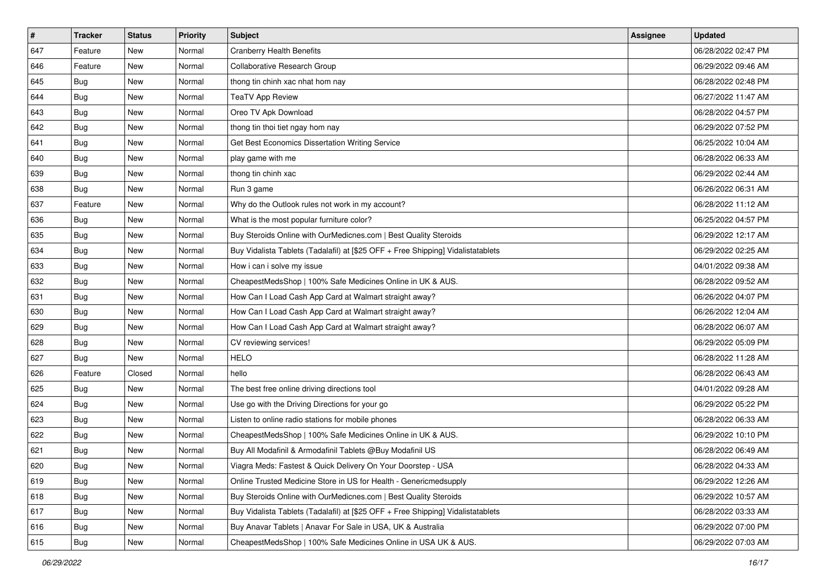| #   | Tracker    | <b>Status</b> | <b>Priority</b> | <b>Subject</b>                                                                   | <b>Assignee</b> | <b>Updated</b>      |
|-----|------------|---------------|-----------------|----------------------------------------------------------------------------------|-----------------|---------------------|
| 647 | Feature    | New           | Normal          | <b>Cranberry Health Benefits</b>                                                 |                 | 06/28/2022 02:47 PM |
| 646 | Feature    | New           | Normal          | Collaborative Research Group                                                     |                 | 06/29/2022 09:46 AM |
| 645 | <b>Bug</b> | New           | Normal          | thong tin chinh xac nhat hom nay                                                 |                 | 06/28/2022 02:48 PM |
| 644 | Bug        | New           | Normal          | <b>TeaTV App Review</b>                                                          |                 | 06/27/2022 11:47 AM |
| 643 | Bug        | New           | Normal          | Oreo TV Apk Download                                                             |                 | 06/28/2022 04:57 PM |
| 642 | <b>Bug</b> | New           | Normal          | thong tin thoi tiet ngay hom nay                                                 |                 | 06/29/2022 07:52 PM |
| 641 | <b>Bug</b> | New           | Normal          | Get Best Economics Dissertation Writing Service                                  |                 | 06/25/2022 10:04 AM |
| 640 | <b>Bug</b> | New           | Normal          | play game with me                                                                |                 | 06/28/2022 06:33 AM |
| 639 | <b>Bug</b> | New           | Normal          | thong tin chinh xac                                                              |                 | 06/29/2022 02:44 AM |
| 638 | Bug        | New           | Normal          | Run 3 game                                                                       |                 | 06/26/2022 06:31 AM |
| 637 | Feature    | New           | Normal          | Why do the Outlook rules not work in my account?                                 |                 | 06/28/2022 11:12 AM |
| 636 | Bug        | New           | Normal          | What is the most popular furniture color?                                        |                 | 06/25/2022 04:57 PM |
| 635 | Bug        | New           | Normal          | Buy Steroids Online with OurMedicnes.com   Best Quality Steroids                 |                 | 06/29/2022 12:17 AM |
| 634 | <b>Bug</b> | New           | Normal          | Buy Vidalista Tablets (Tadalafil) at [\$25 OFF + Free Shipping] Vidalistatablets |                 | 06/29/2022 02:25 AM |
| 633 | Bug        | New           | Normal          | How i can i solve my issue                                                       |                 | 04/01/2022 09:38 AM |
| 632 | <b>Bug</b> | New           | Normal          | CheapestMedsShop   100% Safe Medicines Online in UK & AUS.                       |                 | 06/28/2022 09:52 AM |
| 631 | <b>Bug</b> | New           | Normal          | How Can I Load Cash App Card at Walmart straight away?                           |                 | 06/26/2022 04:07 PM |
| 630 | Bug        | New           | Normal          | How Can I Load Cash App Card at Walmart straight away?                           |                 | 06/26/2022 12:04 AM |
| 629 | Bug        | New           | Normal          | How Can I Load Cash App Card at Walmart straight away?                           |                 | 06/28/2022 06:07 AM |
| 628 | Bug        | New           | Normal          | CV reviewing services!                                                           |                 | 06/29/2022 05:09 PM |
| 627 | Bug        | New           | Normal          | <b>HELO</b>                                                                      |                 | 06/28/2022 11:28 AM |
| 626 | Feature    | Closed        | Normal          | hello                                                                            |                 | 06/28/2022 06:43 AM |
| 625 | Bug        | New           | Normal          | The best free online driving directions tool                                     |                 | 04/01/2022 09:28 AM |
| 624 | Bug        | New           | Normal          | Use go with the Driving Directions for your go                                   |                 | 06/29/2022 05:22 PM |
| 623 | <b>Bug</b> | New           | Normal          | Listen to online radio stations for mobile phones                                |                 | 06/28/2022 06:33 AM |
| 622 | Bug        | New           | Normal          | CheapestMedsShop   100% Safe Medicines Online in UK & AUS.                       |                 | 06/29/2022 10:10 PM |
| 621 | <b>Bug</b> | New           | Normal          | Buy All Modafinil & Armodafinil Tablets @Buy Modafinil US                        |                 | 06/28/2022 06:49 AM |
| 620 | <b>Bug</b> | New           | Normal          | Viagra Meds: Fastest & Quick Delivery On Your Doorstep - USA                     |                 | 06/28/2022 04:33 AM |
| 619 | Bug        | New           | Normal          | Online Trusted Medicine Store in US for Health - Genericmedsupply                |                 | 06/29/2022 12:26 AM |
| 618 | <b>Bug</b> | New           | Normal          | Buy Steroids Online with OurMedicnes.com   Best Quality Steroids                 |                 | 06/29/2022 10:57 AM |
| 617 | <b>Bug</b> | New           | Normal          | Buy Vidalista Tablets (Tadalafil) at [\$25 OFF + Free Shipping] Vidalistatablets |                 | 06/28/2022 03:33 AM |
| 616 | <b>Bug</b> | New           | Normal          | Buy Anavar Tablets   Anavar For Sale in USA, UK & Australia                      |                 | 06/29/2022 07:00 PM |
| 615 | <b>Bug</b> | New           | Normal          | CheapestMedsShop   100% Safe Medicines Online in USA UK & AUS.                   |                 | 06/29/2022 07:03 AM |